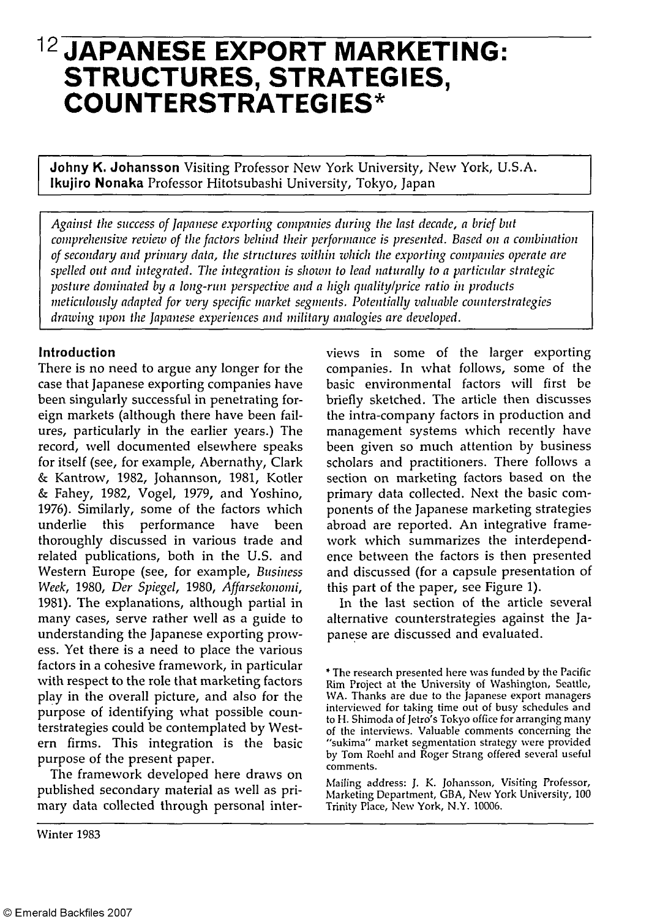# **12 JAPANESE EXPORT MARKETING: STRUCTURES, STRATEGIES, COUNTERSTRATEGIES\***

**Johny K. Johansson** Visiting Professor New York University, New York, U.S.A. **Ikujiro Nonaka** Professor Hitotsubashi University, Tokyo, Japan

*Against the success of Japanese exporting companies during the last decade, a brief but comprehensive review of the factors behind their performance is presented. Based on a combination of secondary and primary data, the structures within which the exporting companies operate are spelled out and integrated. The integration is shown to lead naturally to a particular strategic posture dominated by a long-run perspective and a high quality/price ratio in products meticulously adapted for very specific market segments. Potentially valuable counterstrategies drawing upon the Japanese experiences and military analogies are developed.* 

### **Introduction**

There is no need to argue any longer for the case that Japanese exporting companies have been singularly successful in penetrating foreign markets (although there have been failures, particularly in the earlier years.) The record, well documented elsewhere speaks for itself (see, for example, Abernathy, Clark & Kantrow, 1982, Johannson, 1981, Kotler & Fahey, 1982, Vogel, 1979, and Yoshino, 1976). Similarly, some of the factors which underlie this performance have been thoroughly discussed in various trade and related publications, both in the U.S. and Western Europe (see, for example, *Business Week,* 1980, *Der Spiegel,* 1980, *Affarsekonomi,*  1981). The explanations, although partial in many cases, serve rather well as a guide to understanding the Japanese exporting prowess. Yet there is a need to place the various factors in a cohesive framework, in particular with respect to the role that marketing factors play in the overall picture, and also for the purpose of identifying what possible counterstrategies could be contemplated by Western firms. This integration is the basic purpose of the present paper.

The framework developed here draws on published secondary material as well as primary data collected through personal interviews in some of the larger exporting companies. In what follows, some of the basic environmental factors will first be briefly sketched. The article then discusses the intra-company factors in production and management systems which recently have been given so much attention by business scholars and practitioners. There follows a section on marketing factors based on the primary data collected. Next the basic components of the Japanese marketing strategies abroad are reported. An integrative framework which summarizes the interdependence between the factors is then presented and discussed (for a capsule presentation of this part of the paper, see Figure 1).

In the last section of the article several alternative counterstrategies against the Japanese are discussed and evaluated.

<sup>\*</sup> The research presented here was funded by the Pacific Rim Project at the University of Washington, Seattle, WA. Thanks are due to the Japanese export managers interviewed for taking time out of busy schedules and to H. Shimoda of Jetro's Tokyo office for arranging many of the interviews. Valuable comments concerning the "sukima" market segmentation strategy were provided by Tom Roehl and Roger Strang offered several useful comments.

Mailing address: J. K. Johansson, Visiting Professor, Marketing Department, GBA, New York University, 100 Trinity Place, New York, N.Y. 10006.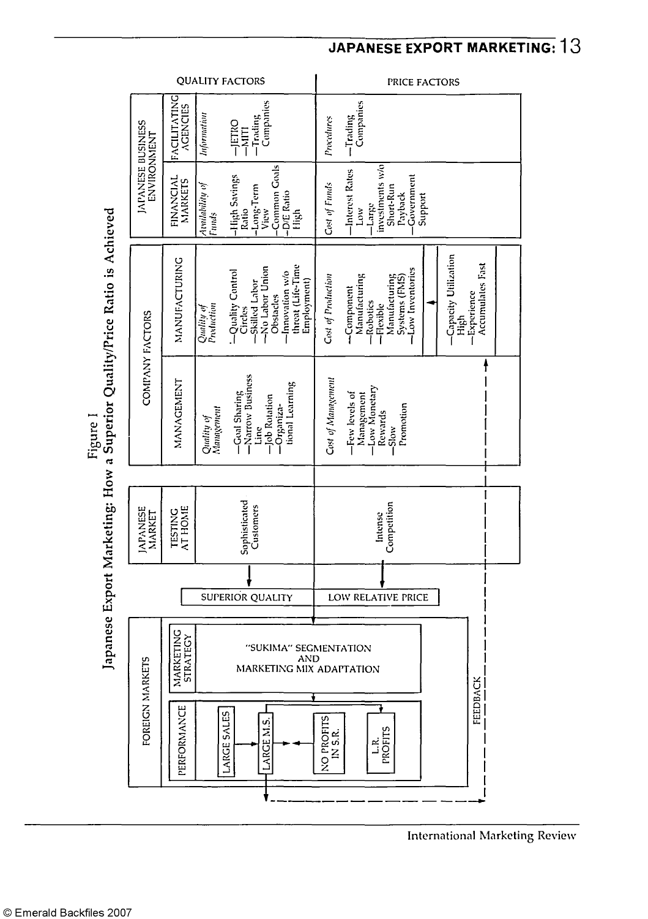Japanese Export Marketing: How a Superior Quality/Price Ratio is Achieved Figure I



International Marketing Review

# **JAPANESE EXPORT MARKETING: 1 3**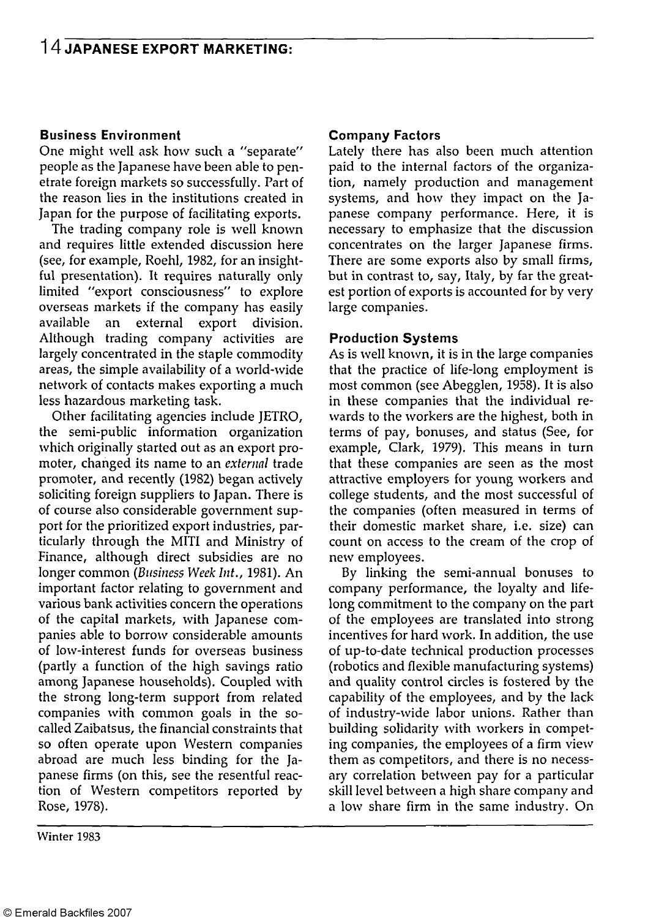#### **Business Environment**

One might well ask how such a "separate" people as the Japanese have been able to penetrate foreign markets so successfully. Part of the reason lies in the institutions created in Japan for the purpose of facilitating exports.

The trading company role is well known and requires little extended discussion here (see, for example, Roehl, 1982, for an insightful presentation). It requires naturally only limited "export consciousness" to explore overseas markets if the company has easily available an external export division. Although trading company activities are largely concentrated in the staple commodity areas, the simple availability of a world-wide network of contacts makes exporting a much less hazardous marketing task.

Other facilitating agencies include JETRO, the semi-public information organization which originally started out as an export promoter, changed its name to an *external* trade promoter, and recently (1982) began actively soliciting foreign suppliers to Japan. There is of course also considerable government support for the prioritized export industries, particularly through the MITI and Ministry of Finance, although direct subsidies are no longer common *(Business Week Int.,* 1981). An important factor relating to government and various bank activities concern the operations of the capital markets, with Japanese companies able to borrow considerable amounts of low-interest funds for overseas business (partly a function of the high savings ratio among Japanese households). Coupled with the strong long-term support from related companies with common goals in the socalled Zaibatsus, the financial constraints that so often operate upon Western companies abroad are much less binding for the Japanese firms (on this, see the resentful reaction of Western competitors reported by Rose, 1978).

#### **Company Factors**

Lately there has also been much attention paid to the internal factors of the organization, namely production and management systems, and how they impact on the Japanese company performance. Here, it is necessary to emphasize that the discussion concentrates on the larger Japanese firms. There are some exports also by small firms, but in contrast to, say, Italy, by far the greatest portion of exports is accounted for by very large companies.

#### **Production Systems**

As is well known, it is in the large companies that the practice of life-long employment is most common (see Abegglen, 1958). It is also in these companies that the individual rewards to the workers are the highest, both in terms of pay, bonuses, and status (See, for example, Clark, 1979). This means in turn that these companies are seen as the most attractive employers for young workers and college students, and the most successful of the companies (often measured in terms of their domestic market share, i.e. size) can count on access to the cream of the crop of new employees.

By linking the semi-annual bonuses to company performance, the loyalty and lifelong commitment to the company on the part of the employees are translated into strong incentives for hard work. In addition, the use of up-to-date technical production processes (robotics and flexible manufacturing systems) and quality control circles is fostered by the capability of the employees, and by the lack of industry-wide labor unions. Rather than building solidarity with workers in competing companies, the employees of a firm view them as competitors, and there is no necessary correlation between pay for a particular skill level between a high share company and a low share firm in the same industry. On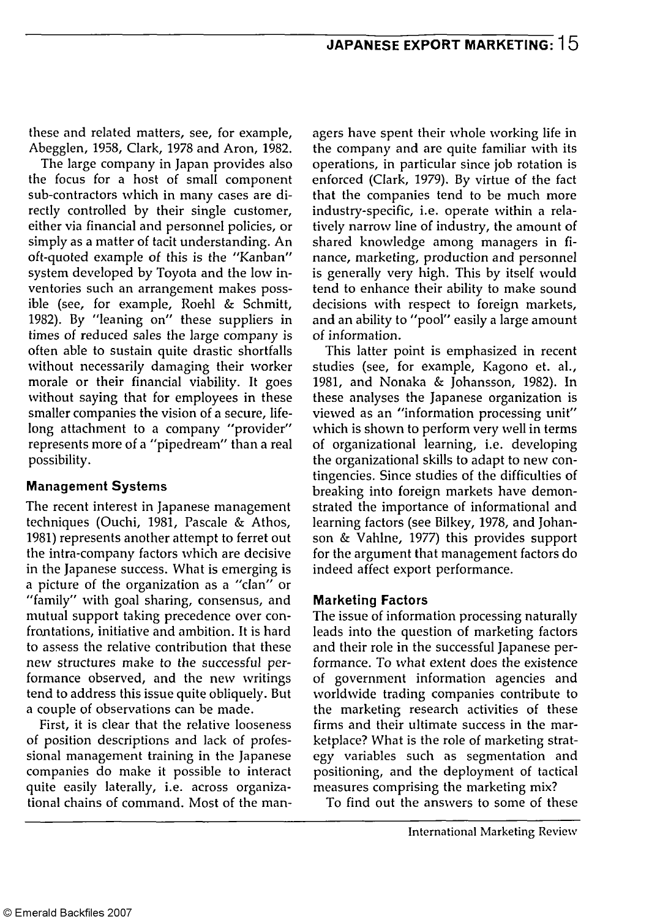these and related matters, see, for example, Abegglen, 1958, Clark, 1978 and Aron, 1982.

The large company in Japan provides also the focus for a host of small component sub-contractors which in many cases are directly controlled by their single customer, either via financial and personnel policies, or simply as a matter of tacit understanding. An oft-quoted example of this is the "Kanban" system developed by Toyota and the low inventories such an arrangement makes possible (see, for example, Roehl & Schmitt, 1982). By "leaning on" these suppliers in times of reduced sales the large company is often able to sustain quite drastic shortfalls without necessarily damaging their worker morale or their financial viability. It goes without saying that for employees in these smaller companies the vision of a secure, lifelong attachment to a company "provider" represents more of a "pipedream" than a real possibility.

## **Management Systems**

The recent interest in Japanese management techniques (Ouchi, 1981, Pascale & Athos, 1981) represents another attempt to ferret out the intra-company factors which are decisive in the Japanese success. What is emerging is a picture of the organization as a "clan" or "family" with goal sharing, consensus, and mutual support taking precedence over confrontations, initiative and ambition. It is hard to assess the relative contribution that these new structures make to the successful performance observed, and the new writings tend to address this issue quite obliquely. But a couple of observations can be made.

First, it is clear that the relative looseness of position descriptions and lack of professional management training in the Japanese companies do make it possible to interact quite easily laterally, i.e. across organizational chains of command. Most of the managers have spent their whole working life in the company and are quite familiar with its operations, in particular since job rotation is enforced (Clark, 1979). By virtue of the fact that the companies tend to be much more industry-specific, i.e. operate within a relatively narrow line of industry, the amount of shared knowledge among managers in finance, marketing, production and personnel is generally very high. This by itself would tend to enhance their ability to make sound decisions with respect to foreign markets, and an ability to "pool" easily a large amount of information.

This latter point is emphasized in recent studies (see, for example, Kagono et. al., 1981, and Nonaka & Johansson, 1982). In these analyses the Japanese organization is viewed as an "information processing unit" which is shown to perform very well in terms of organizational learning, i.e. developing the organizational skills to adapt to new contingencies. Since studies of the difficulties of breaking into foreign markets have demonstrated the importance of informational and learning factors (see Bilkey, 1978, and Johanson & Vahlne, 1977) this provides support for the argument that management factors do indeed affect export performance.

#### **Marketing Factors**

The issue of information processing naturally leads into the question of marketing factors and their role in the successful Japanese performance. To what extent does the existence of government information agencies and worldwide trading companies contribute to the marketing research activities of these firms and their ultimate success in the marketplace? What is the role of marketing strategy variables such as segmentation and positioning, and the deployment of tactical measures comprising the marketing mix?

To find out the answers to some of these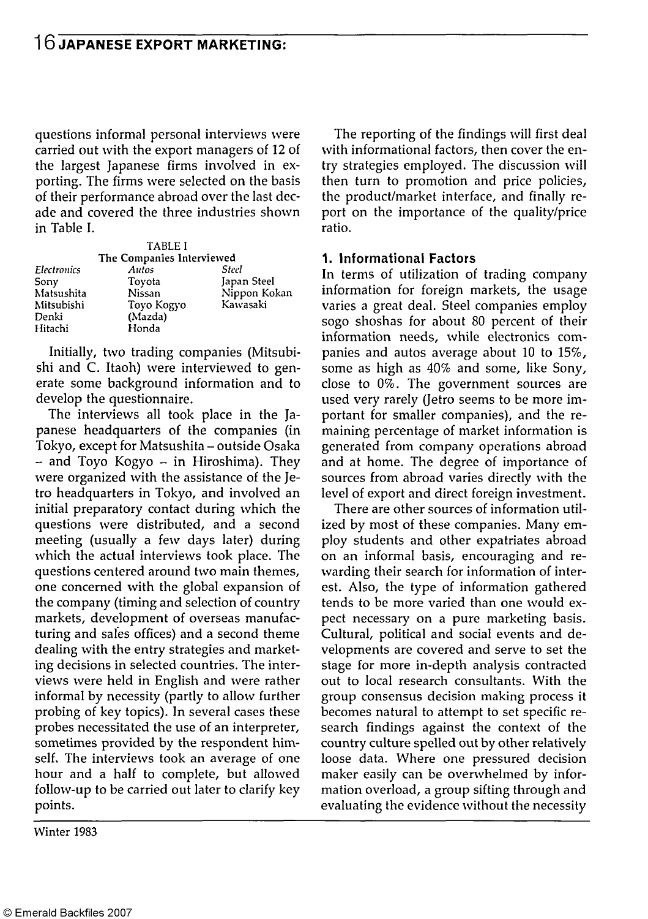questions informal personal interviews were carried out with the export managers of 12 of the largest Japanese firms involved in exporting. The firms were selected on the basis of their performance abroad over the last decade and covered the three industries shown in Table I.

| <b>TABLE I</b><br>The Companies Interviewed |            |              |
|---------------------------------------------|------------|--------------|
| <b>Electronics</b>                          | Autos      | Steel        |
| Sony                                        | Toyota     | Japan Steel  |
| Matsushita                                  | Nissan     | Nippon Kokan |
| Mitsubishi                                  | Toyo Kogyo | Kawasaki     |
| Denki                                       | (Mazda)    |              |
| Hitachi                                     | Honda      |              |

Initially, two trading companies (Mitsubishi and C. Itaoh) were interviewed to generate some background information and to develop the questionnaire.

The interviews all took place in the Japanese headquarters of the companies (in Tokyo, except for Matsushita - outside Osaka  $-$  and Toyo Kogyo  $-$  in Hiroshima). They were organized with the assistance of the Jetro headquarters in Tokyo, and involved an initial preparatory contact during which the questions were distributed, and a second meeting (usually a few days later) during which the actual interviews took place. The questions centered around two main themes, one concerned with the global expansion of the company (timing and selection of country markets, development of overseas manufacturing and sales offices) and a second theme dealing with the entry strategies and marketing decisions in selected countries. The interviews were held in English and were rather informal by necessity (partly to allow further probing of key topics). In several cases these probes necessitated the use of an interpreter, sometimes provided by the respondent himself. The interviews took an average of one hour and a half to complete, but allowed follow-up to be carried out later to clarify key points.

The reporting of the findings will first deal with informational factors, then cover the entry strategies employed. The discussion will then turn to promotion and price policies, the product/market interface, and finally report on the importance of the quality/price ratio.

## **1. Informational Factors**

In terms of utilization of trading company information for foreign markets, the usage varies a great deal. Steel companies employ sogo shoshas for about 80 percent of their information needs, while electronics companies and autos average about 10 to 15%, some as high as 40% and some, like Sony, close to 0%. The government sources are used very rarely (Jetro seems to be more important for smaller companies), and the remaining percentage of market information is generated from company operations abroad and at home. The degree of importance of sources from abroad varies directly with the level of export and direct foreign investment.

There are other sources of information utilized by most of these companies. Many employ students and other expatriates abroad on an informal basis, encouraging and rewarding their search for information of interest. Also, the type of information gathered tends to be more varied than one would expect necessary on a pure marketing basis. Cultural, political and social events and developments are covered and serve to set the stage for more in-depth analysis contracted stage for more in-depth analysis contracted out to local research consultants. With the group consensus decision making process it becomes natural to attempt to set specific research findings against the context of the country culture spelled out by other relatively loose data. Where one pressured decision maker easily can be overwhelmed by information overload, a group sifting through and<br>evaluating the evidence without the necessity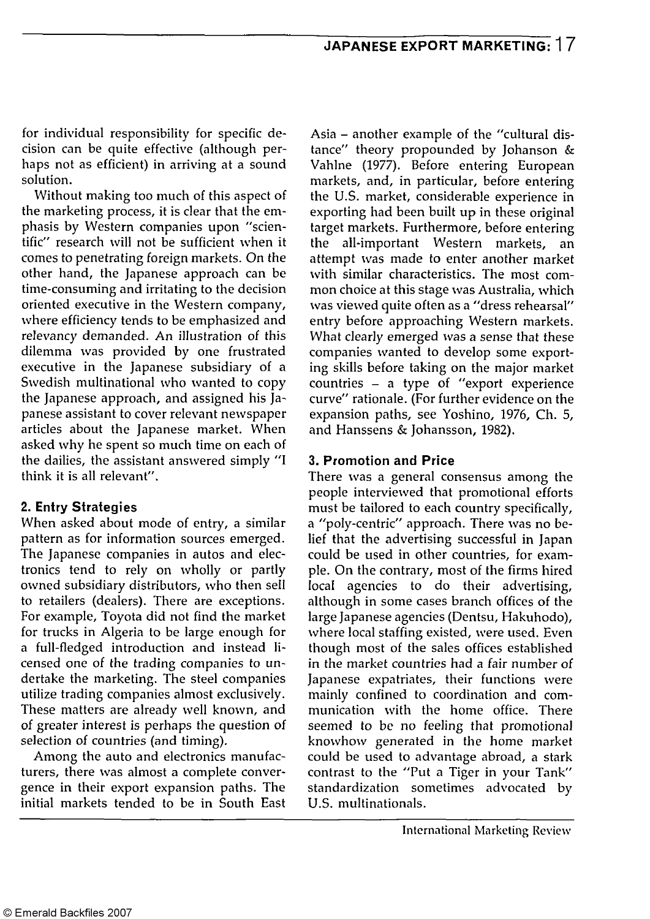for individual responsibility for specific decision can be quite effective (although perhaps not as efficient) in arriving at a sound solution.

Without making too much of this aspect of the marketing process, it is clear that the emphasis by Western companies upon "scientific" research will not be sufficient when it comes to penetrating foreign markets. On the other hand, the Japanese approach can be time-consuming and irritating to the decision oriented executive in the Western company, where efficiency tends to be emphasized and relevancy demanded. An illustration of this dilemma was provided by one frustrated executive in the Japanese subsidiary of a Swedish multinational who wanted to copy the Japanese approach, and assigned his Japanese assistant to cover relevant newspaper articles about the Japanese market. When asked why he spent so much time on each of the dailies, the assistant answered simply "I think it is all relevant".

# **2. Entry Strategies**

When asked about mode of entry, a similar pattern as for information sources emerged. The Japanese companies in autos and electronics tend to rely on wholly or partly owned subsidiary distributors, who then sell to retailers (dealers). There are exceptions. For example, Toyota did not find the market for trucks in Algeria to be large enough for a full-fledged introduction and instead licensed one of the trading companies to undertake the marketing. The steel companies utilize trading companies almost exclusively. These matters are already well known, and of greater interest is perhaps the question of selection of countries (and timing).

Among the auto and electronics manufacturers, there was almost a complete convergence in their export expansion paths. The initial markets tended to be in South East

Asia - another example of the "cultural distance" theory propounded by Johanson & Vahlne (1977). Before entering European markets, and, in particular, before entering the U.S. market, considerable experience in exporting had been built up in these original target markets. Furthermore, before entering the all-important Western markets, an attempt was made to enter another market with similar characteristics. The most common choice at this stage was Australia, which was viewed quite often as a "dress rehearsal" entry before approaching Western markets. What clearly emerged was a sense that these companies wanted to develop some exporting skills before taking on the major market countries - a type of "export experience curve" rationale. (For further evidence on the expansion paths, see Yoshino, 1976, Ch. 5, and Hanssens & Johansson, 1982).

## **3. Promotion and Price**

There was a general consensus among the people interviewed that promotional efforts must be tailored to each country specifically, a "poly-centric" approach. There was no belief that the advertising successful in Japan could be used in other countries, for example. On the contrary, most of the firms hired local agencies to do their advertising, although in some cases branch offices of the large Japanese agencies (Dentsu, Hakuhodo), where local staffing existed, were used. Even though most of the sales offices established in the market countries had a fair number of Japanese expatriates, their functions were mainly confined to coordination and communication with the home office. There seemed to be no feeling that promotional knowhow generated in the home market could be used to advantage abroad, a stark contrast to the "Put a Tiger in your Tank" standardization sometimes advocated by U.S. multinationals.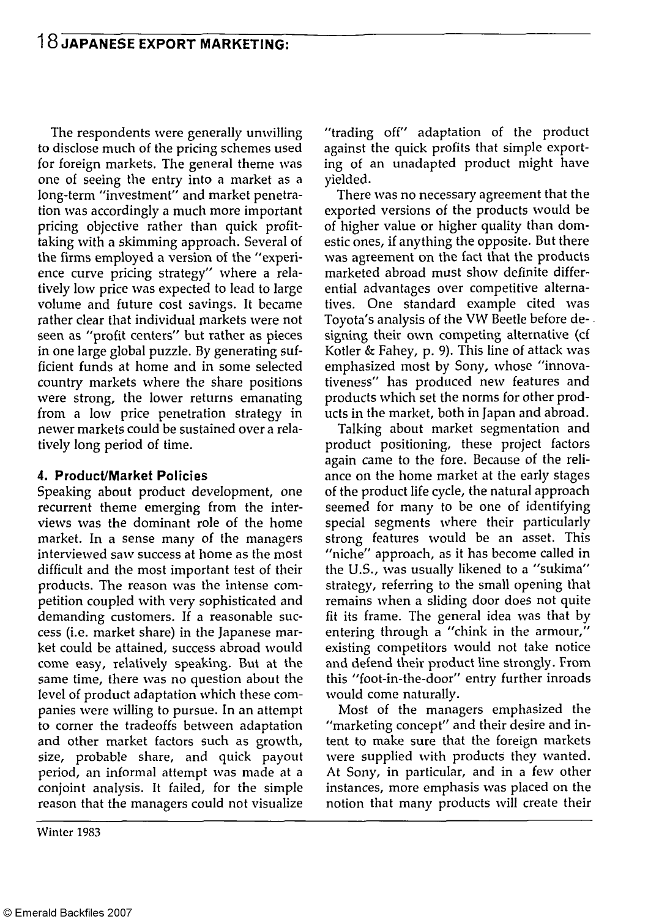# **1 8 JAPANESE EXPORT MARKETING:**

The respondents were generally unwilling to disclose much of the pricing schemes used for foreign markets. The general theme was one of seeing the entry into a market as a long-term "investment" and market penetration was accordingly a much more important pricing objective rather than quick profittaking with a skimming approach. Several of the firms employed a version of the "experience curve pricing strategy" where a relatively low price was expected to lead to large volume and future cost savings. It became rather clear that individual markets were not seen as "profit centers" but rather as pieces in one large global puzzle. By generating sufficient funds at home and in some selected country markets where the share positions were strong, the lower returns emanating from a low price penetration strategy in newer markets could be sustained over a relatively long period of time.

#### **4. Product/Market Policies**

Speaking about product development, one recurrent theme emerging from the interviews was the dominant role of the home market. In a sense many of the managers interviewed saw success at home as the most difficult and the most important test of their products. The reason was the intense competition coupled with very sophisticated and demanding customers. If a reasonable success (i.e. market share) in the Japanese market could be attained, success abroad would come easy, relatively speaking. But at the same time, there was no question about the level of product adaptation which these companies were willing to pursue. In an attempt to corner the tradeoffs between adaptation and other market factors such as growth, size, probable share, and quick payout period, an informal attempt was made at a conjoint analysis. It failed, for the simple reason that the managers could not visualize

"trading off" adaptation of the product against the quick profits that simple exporting of an unadapted product might have yielded.

There was no necessary agreement that the exported versions of the products would be of higher value or higher quality than domestic ones, if anything the opposite. But there was agreement on the fact that the products marketed abroad must show definite differential advantages over competitive alternatives. One standard example cited was Toyota's analysis of the VW Beetle before designing their own competing alternative (cf Kotler & Fahey, p. 9). This line of attack was emphasized most by Sony, whose "innovativeness" has produced new features and products which set the norms for other products in the market, both in Japan and abroad.

Talking about market segmentation and product positioning, these project factors again came to the fore. Because of the reliance on the home market at the early stages of the product life cycle, the natural approach seemed for many to be one of identifying special segments where their particularly strong features would be an asset. This "niche" approach, as it has become called in the U.S., was usually likened to a "sukima" strategy, referring to the small opening that remains when a sliding door does not quite fit its frame. The general idea was that by entering through a "chink in the armour," existing competitors would not take notice and defend their product line strongly. From this "foot-in-the-door" entry further inroads would come naturally.

Most of the managers emphasized the "marketing concept" and their desire and intent to make sure that the foreign markets were supplied with products they wanted. At Sony, in particular, and in a few other instances, more emphasis was placed on the notion that many products will create their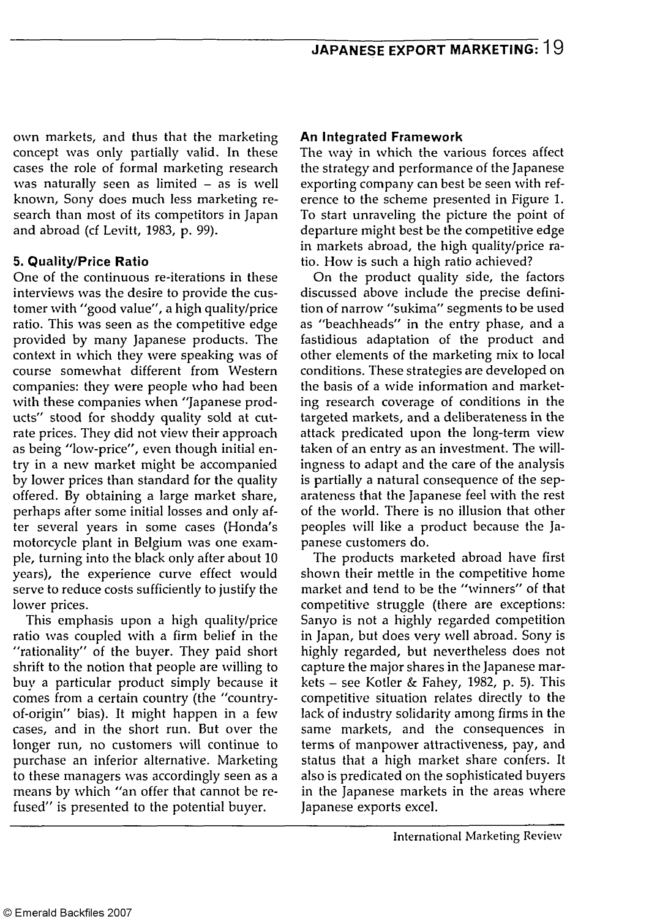own markets, and thus that the marketing concept was only partially valid. In these cases the role of formal marketing research was naturally seen as limited  $-$  as is well known, Sony does much less marketing research than most of its competitors in Japan and abroad (cf Levitt, 1983, p. 99).

## **5. Quality/Price Ratio**

One of the continuous re-iterations in these interviews was the desire to provide the customer with "good value", a high quality/price ratio. This was seen as the competitive edge provided by many Japanese products. The context in which they were speaking was of course somewhat different from Western companies: they were people who had been with these companies when "Japanese products" stood for shoddy quality sold at cutrate prices. They did not view their approach as being "low-price", even though initial entry in a new market might be accompanied by lower prices than standard for the quality offered. By obtaining a large market share, perhaps after some initial losses and only after several years in some cases (Honda's motorcycle plant in Belgium was one example, turning into the black only after about 10 years), the experience curve effect would serve to reduce costs sufficiently to justify the lower prices.

This emphasis upon a high quality/price ratio was coupled with a firm belief in the "rationality" of the buyer. They paid short shrift to the notion that people are willing to buy a particular product simply because it comes from a certain country (the "countryof-origin" bias). It might happen in a few cases, and in the short run. But over the longer run, no customers will continue to purchase an inferior alternative. Marketing to these managers was accordingly seen as a means by which "an offer that cannot be refused" is presented to the potential buyer.

#### **An Integrated Framework**

The way in which the various forces affect the strategy and performance of the Japanese exporting company can best be seen with reference to the scheme presented in Figure 1. To start unraveling the picture the point of departure might best be the competitive edge in markets abroad, the high quality/price ratio. How is such a high ratio achieved?

On the product quality side, the factors discussed above include the precise definition of narrow "sukima" segments to be used as "beachheads" in the entry phase, and a fastidious adaptation of the product and other elements of the marketing mix to local conditions. These strategies are developed on the basis of a wide information and marketing research coverage of conditions in the targeted markets, and a deliberateness in the attack predicated upon the long-term view taken of an entry as an investment. The willingness to adapt and the care of the analysis is partially a natural consequence of the separateness that the Japanese feel with the rest of the world. There is no illusion that other peoples will like a product because the Japanese customers do.

The products marketed abroad have first shown their mettle in the competitive home market and tend to be the "winners" of that competitive struggle (there are exceptions: Sanyo is not a highly regarded competition in Japan, but does very well abroad. Sony is highly regarded, but nevertheless does not capture the major shares in the Japanese markets - see Kotler & Fahey, 1982, p. 5). This competitive situation relates directly to the lack of industry solidarity among firms in the same markets, and the consequences in terms of manpower attractiveness, pay, and status that a high market share confers. It also is predicated on the sophisticated buyers in the Japanese markets in the areas where Japanese exports excel.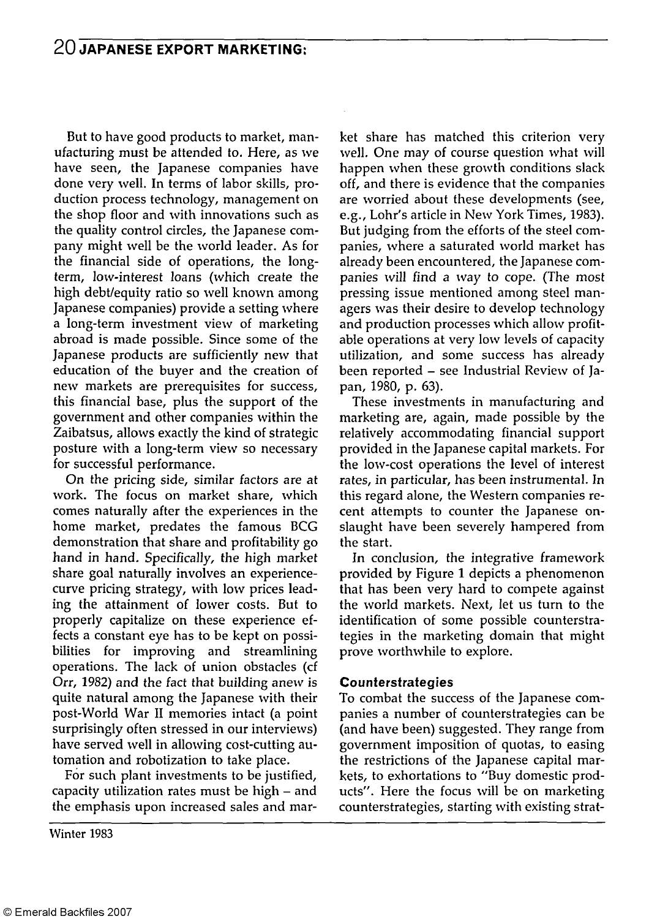# **2 0 JAPANESE EXPORT MARKETING:**

But to have good products to market, manufacturing must be attended to. Here, as we have seen, the Japanese companies have done very well. In terms of labor skills, production process technology, management on the shop floor and with innovations such as the quality control circles, the Japanese company might well be the world leader. As for the financial side of operations, the longterm, low-interest loans (which create the high debt/equity ratio so well known among Japanese companies) provide a setting where a long-term investment view of marketing abroad is made possible. Since some of the Japanese products are sufficiently new that education of the buyer and the creation of new markets are prerequisites for success, this financial base, plus the support of the government and other companies within the Zaibatsus, allows exactly the kind of strategic posture with a long-term view so necessary for successful performance.

On the pricing side, similar factors are at work. The focus on market share, which comes naturally after the experiences in the home market, predates the famous BCG demonstration that share and profitability go hand in hand. Specifically, the high market share goal naturally involves an experiencecurve pricing strategy, with low prices leading the attainment of lower costs. But to properly capitalize on these experience effects a constant eye has to be kept on possibilities for improving and streamlining operations. The lack of union obstacles (cf Orr, 1982) and the fact that building anew is quite natural among the Japanese with their post-World War II memories intact (a point surprisingly often stressed in our interviews) have served well in allowing cost-cutting automation and robotization to take place.

For such plant investments to be justified, capacity utilization rates must be high - and the emphasis upon increased sales and market share has matched this criterion very well. One may of course question what will happen when these growth conditions slack off, and there is evidence that the companies are worried about these developments (see, e.g., Lohr's article in New York Times, 1983). But judging from the efforts of the steel companies, where a saturated world market has already been encountered, the Japanese companies will find a way to cope. (The most pressing issue mentioned among steel managers was their desire to develop technology and production processes which allow profitable operations at very low levels of capacity utilization, and some success has already been reported - see Industrial Review of Japan, 1980, p. 63).

These investments in manufacturing and marketing are, again, made possible by the relatively accommodating financial support provided in the Japanese capital markets. For the low-cost operations the level of interest rates, in particular, has been instrumental. In this regard alone, the Western companies recent attempts to counter the Japanese onslaught have been severely hampered from the start.

In conclusion, the integrative framework provided by Figure 1 depicts a phenomenon that has been very hard to compete against the world markets. Next, let us turn to the identification of some possible counterstrategies in the marketing domain that might prove worthwhile to explore.

#### **Counterstrategies**

To combat the success of the Japanese companies a number of counterstrategies can be (and have been) suggested. They range from government imposition of quotas, to easing the restrictions of the Japanese capital markets, to exhortations to "Buy domestic products". Here the focus will be on marketing counterstrategies, starting with existing strat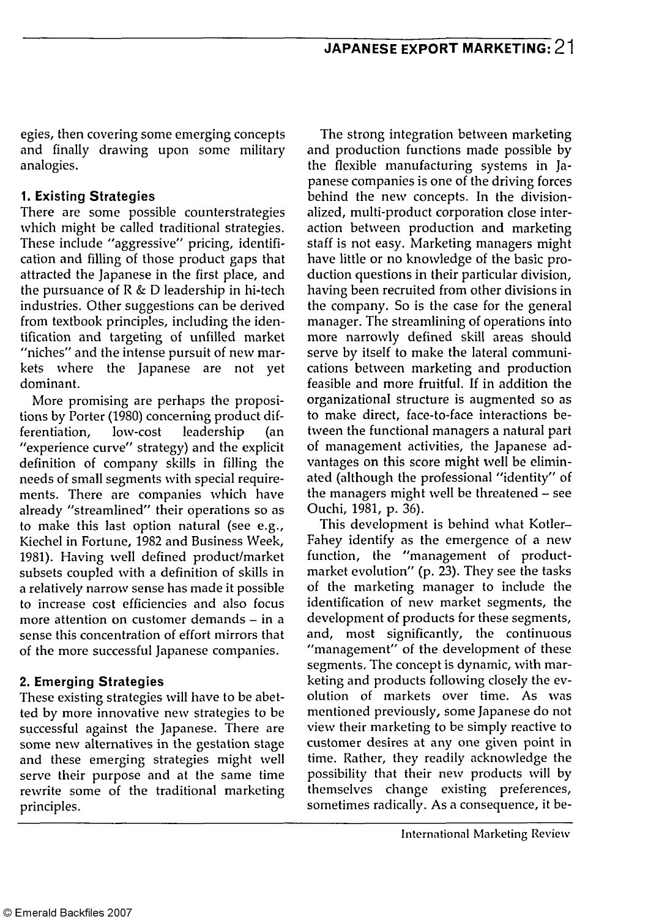egies, then covering some emerging concepts and finally drawing upon some military analogies.

# **1. Existing Strategies**

There are some possible counterstrategies which might be called traditional strategies. These include "aggressive" pricing, identification and filling of those product gaps that attracted the Japanese in the first place, and the pursuance of R & D leadership in hi-tech industries. Other suggestions can be derived from textbook principles, including the identification and targeting of unfilled market "niches" and the intense pursuit of new markets where the Japanese are not yet dominant.

More promising are perhaps the propositions by Porter (1980) concerning product differentiation, low-cost leadership (an "experience curve" strategy) and the explicit definition of company skills in filling the needs of small segments with special requirements. There are companies which have already "streamlined" their operations so as to make this last option natural (see e.g., Kiechel in Fortune, 1982 and Business Week, 1981). Having well defined product/market subsets coupled with a definition of skills in a relatively narrow sense has made it possible to increase cost efficiencies and also focus more attention on customer demands  $-$  in a sense this concentration of effort mirrors that of the more successful Japanese companies.

# **2. Emerging Strategies**

These existing strategies will have to be abetted by more innovative new strategies to be successful against the Japanese. There are some new alternatives in the gestation stage and these emerging strategies might well serve their purpose and at the same time rewrite some of the traditional marketing principles.

The strong integration between marketing and production functions made possible by the flexible manufacturing systems in Japanese companies is one of the driving forces behind the new concepts. In the divisionalized, multi-product corporation close interaction between production and marketing staff is not easy. Marketing managers might have little or no knowledge of the basic production questions in their particular division, having been recruited from other divisions in the company. So is the case for the general manager. The streamlining of operations into more narrowly defined skill areas should serve by itself to make the lateral communications between marketing and production feasible and more fruitful. If in addition the organizational structure is augmented so as to make direct, face-to-face interactions between the functional managers a natural part of management activities, the Japanese advantages on this score might well be eliminated (although the professional "identity" of the managers might well be threatened - see Ouchi, 1981, p. 36).

This development is behind what Kotler-Fahey identify as the emergence of a new function, the "management of productmarket evolution" (p. 23). They see the tasks of the marketing manager to include the identification of new market segments, the development of products for these segments, and, most significantly, the continuous "management" of the development of these segments. The concept is dynamic, with marketing and products following closely the evolution of markets over time. As was mentioned previously, some Japanese do not view their marketing to be simply reactive to customer desires at any one given point in time. Rather, they readily acknowledge the possibility that their new products will by themselves change existing preferences, sometimes radically. As a consequence, it be-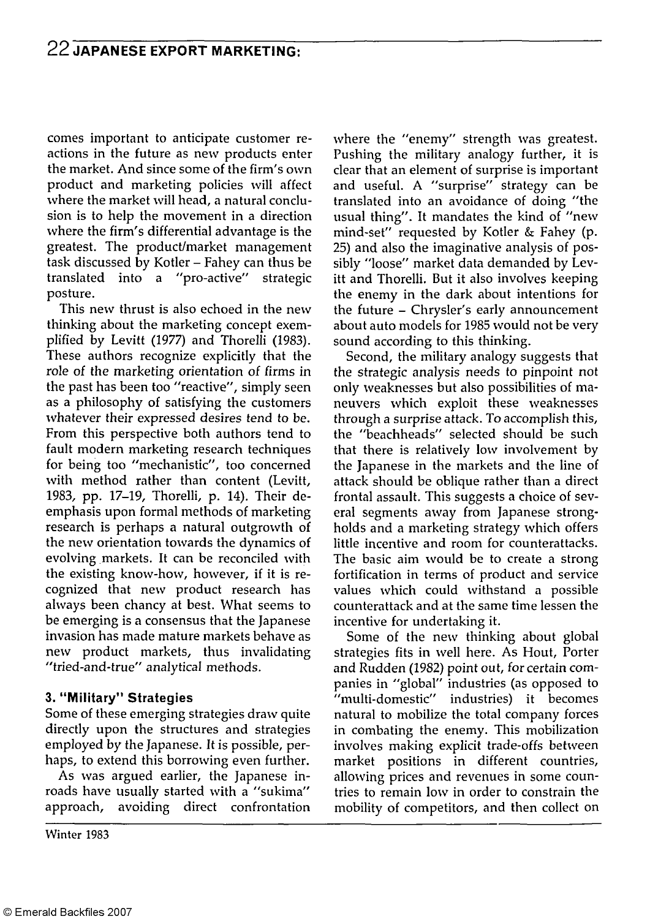comes important to anticipate customer reactions in the future as new products enter the market. And since some of the firm's own product and marketing policies will affect where the market will head, a natural conclusion is to help the movement in a direction where the firm's differential advantage is the greatest. The product/market management task discussed by Kotler - Fahey can thus be translated into a "pro-active" strategic posture.

This new thrust is also echoed in the new thinking about the marketing concept exemplified by Levitt (1977) and Thorelli (1983). These authors recognize explicitly that the role of the marketing orientation of firms in the past has been too "reactive", simply seen as a philosophy of satisfying the customers whatever their expressed desires tend to be. From this perspective both authors tend to fault modern marketing research techniques for being too "mechanistic", too concerned with method rather than content (Levitt, 1983, pp. 17-19, Thorelli, p. 14). Their deemphasis upon formal methods of marketing research is perhaps a natural outgrowth of the new orientation towards the dynamics of evolving markets. It can be reconciled with the existing know-how, however, if it is recognized that new product research has always been chancy at best. What seems to be emerging is a consensus that the Japanese invasion has made mature markets behave as new product markets, thus invalidating "tried-and-true" analytical methods.

## **3. "Military" Strategies**

Some of these emerging strategies draw quite directly upon the structures and strategies employed by the Japanese. It is possible, perhaps, to extend this borrowing even further.

As was argued earlier, the Japanese inroads have usually started with a "sukima" approach, avoiding direct confrontation

Winter 1983

where the "enemy" strength was greatest. Pushing the military analogy further, it is clear that an element of surprise is important and useful. A "surprise" strategy can be translated into an avoidance of doing "the usual thing". It mandates the kind of "new mind-set" requested by Kotler & Fahey (p. 25) and also the imaginative analysis of possibly "loose" market data demanded by Levitt and Thorelli. But it also involves keeping the enemy in the dark about intentions for the future - Chrysler's early announcement about auto models for 1985 would not be very sound according to this thinking.

Second, the military analogy suggests that the strategic analysis needs to pinpoint not only weaknesses but also possibilities of maneuvers which exploit these weaknesses through a surprise attack. To accomplish this, the "beachheads" selected should be such that there is relatively low involvement by the Japanese in the markets and the line of attack should be oblique rather than a direct frontal assault. This suggests a choice of several segments away from Japanese strongholds and a marketing strategy which offers little incentive and room for counterattacks. The basic aim would be to create a strong fortification in terms of product and service values which could withstand a possible counterattack and at the same time lessen the incentive for undertaking it.

Some of the new thinking about global strategies fits in well here. As Hout, Porter and Rudden (1982) point out, for certain companies in "global" industries (as opposed to "multi-domestic" industries) it becomes natural to mobilize the total company forces in combating the enemy. This mobilization involves making explicit trade-offs between market positions in different countries, allowing prices and revenues in some countries to remain low in order to constrain the mobility of competitors, and then collect on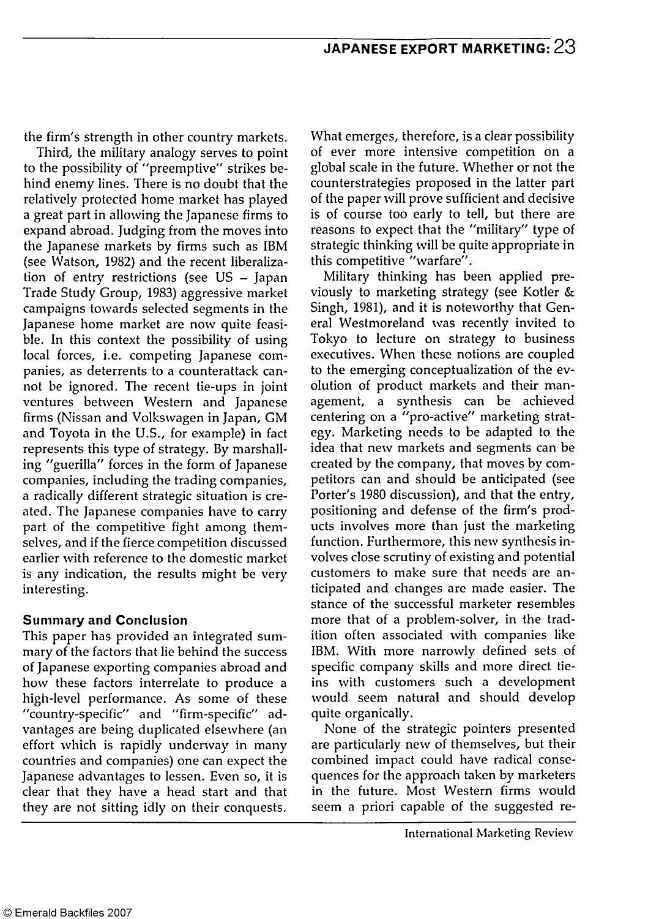the firm's strength in other country markets.

Third, the military analogy serves to point to the possibility of "preemptive" strikes behind enemy lines. There is no doubt that the relatively protected home market has played a great part in allowing the Japanese firms to expand abroad. Judging from the moves into the Japanese markets by firms such as IBM (see Watson, 1982) and the recent liberalization of entry restrictions (see US - Japan Trade Study Group, 1983) aggressive market campaigns towards selected segments in the Japanese home market are now quite feasible. In this context the possibility of using local forces, i.e. competing Japanese companies, as deterrents to a counterattack cannot be ignored. The recent tie-ups in joint ventures between Western and Japanese firms (Nissan and Volkswagen in Japan, GM and Toyota in the U.S., for example) in fact represents this type of strategy. By marshalling "guerilla" forces in the form of Japanese companies, including the trading companies, a radically different strategic situation is created. The Japanese companies have to carry part of the competitive fight among themselves, and if the fierce competition discussed earlier with reference to the domestic market is any indication, the results might be very interesting.

## **Summary and Conclusion**

This paper has provided an integrated summary of the factors that lie behind the success of Japanese exporting companies abroad and how these factors interrelate to produce a high-level performance. As some of these "country-specific" and "firm-specific" advantages are being duplicated elsewhere (an effort which is rapidly underway in many countries and companies) one can expect the Japanese advantages to lessen. Even so, it is clear that they have a head start and that they are not sitting idly on their conquests.

What emerges, therefore, is a clear possibility of ever more intensive competition on a global scale in the future. Whether or not the counterstrategies proposed in the latter part of the paper will prove sufficient and decisive is of course too early to tell, but there are reasons to expect that the "military" type of strategic thinking will be quite appropriate in this competitive "warfare".

Military thinking has been applied previously to marketing strategy (see Kotler & Singh, 1981), and it is noteworthy that General Westmoreland was recently invited to Tokyo to lecture on strategy to business executives. When these notions are coupled to the emerging conceptualization of the evolution of product markets and their management, a synthesis can be achieved centering on a "pro-active" marketing strategy. Marketing needs to be adapted to the idea that new markets and segments can be created by the company, that moves by competitors can and should be anticipated (see Porter's 1980 discussion), and that the entry, positioning and defense of the firm's products involves more than just the marketing function. Furthermore, this new synthesis involves close scrutiny of existing and potential customers to make sure that needs are anticipated and changes are made easier. The stance of the successful marketer resembles more that of a problem-solver, in the tradition often associated with companies like IBM. With more narrowly defined sets of specific company skills and more direct tieins with customers such a development would seem natural and should develop quite organically.

None of the strategic pointers presented are particularly new of themselves, but their combined impact could have radical consequences for the approach taken by marketers in the future. Most Western firms would seem a priori capable of the suggested re-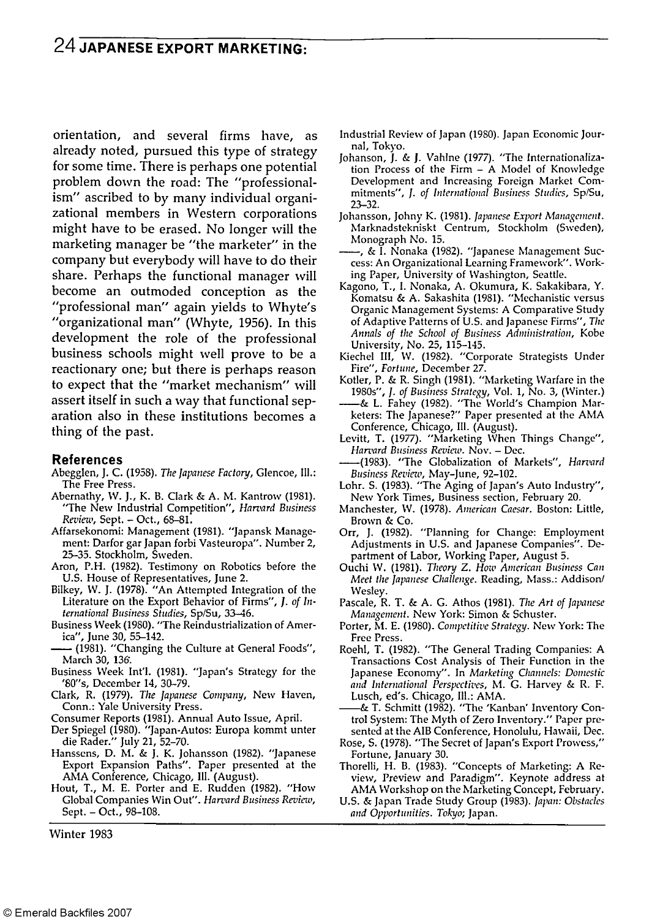# **2 4 JAPANESE EXPORT MARKETING:**

orientation, and several firms have, as already noted, pursued this type of strategy for some time. There is perhaps one potential problem down the road: The "professionalism" ascribed to by many individual organizational members in Western corporations might have to be erased. No longer will the marketing manager be "the marketer" in the company but everybody will have to do their share. Perhaps the functional manager will become an outmoded conception as the "professional man" again yields to Whyte's "organizational man" (Whyte, 1956). In this development the role of the professional business schools might well prove to be a reactionary one; but there is perhaps reason to expect that the "market mechanism" will assert itself in such a way that functional separation also in these institutions becomes a thing of the past.

#### **References**

- Abegglen, J. C. (1958). *The Japanese Factory,* Glencoe, III.: The Free Press.
- Abernathy, W. J., K. B. Clark & A. M. Kantrow (1981). "The New Industrial Competition", *Harvard Business Review,* Sept. - Oct., 68-81.
- Affarsekonomi: Management (1981). "Japansk Management: Darfor gar Japan forbi Vasteuropa". Number 2, 25-35. Stockholm, Sweden.
- Aron, P.H. (1982). Testimony on Robotics before the U.S. House of Representatives, June 2.
- Bilkey, W. J. (1978). "An Attempted Integration of the Literature on the Export Behavior of Firms", J. *of International Business Studies,* Sp/Su, 33-46.
- Business Week (1980). "The Reindustrialization of America", June 30, 55-142.
- (1981). "Changing the Culture at General Foods", March 30, 136.
- Business Week Int'l. (1981). "Japan's Strategy for the '80"s, December 14, 30-79.
- Clark, R. (1979). *The Japanese Company,* New Haven, Conn.: Yale University Press.
- Consumer Reports (1981). Annual Auto Issue, April.
- Der Spiegel (1980). "Japan-Autos: Europa kommt unter die Rader." July 21, 52-70.
- Hanssens, D. M. & J. K. Johansson (1982). "Japanese Export Expansion Paths". Paper presented at the AMA Conference, Chicago, III. (August).
- Hout, T., M. E. Porter and E. Rudden (1982). "How Global Companies Win Out". *Harvard Business Revieiv,*  Sept. - Oct., 98-108.

- Industrial Review of Japan (1980). Japan Economic Journal, Tokyo.
- Johanson, J. & J. Vahlne (1977). "The Internationalization Process of the Firm - A Model of Knowledge Development and Increasing Foreign Market Commitments", J. *of International Business Studies,* Sp/Su, 23-32.
- Johansson, Johny K. (1981). *Japanese Export Management.*  Marknadstekniskt Centrum, Stockholm (Sweden), Monograph No. 15.
- ―, & l. Nonaka (1982). "Japanese Management Success: An Organizational Learning Framework". Working Paper, University of Washington, Seattle.
- Kagono, T., I. Nonaka, A. Okumura, K. Sakakibara, Y. Komatsu & A. Sakashita (1981). "Mechanistic versus Organic Management Systems: A Comparative Study of Adaptive Patterns of U.S. and Japanese Firms", *The Annals of the School of Business Administration,* Kobe University, No. 25, 115-145.
- Kiechel III, W. (1982). "Corporate Strategists Under Fire", *Fortune,* December 27.
- Kotler, P. & R. Singh (1981). "Marketing Warfare in the 1980s", J. *of Business Strategy,* Vol. 1, No. 3, (Winter.)
- ―&: L. Fahey (1982). "The World's Champion Marketers: The Japanese?" Paper presented at the AMA Conference, Chicago, III. (August).
- Levitt, T. (1977). "Marketing When Things Change", *Harvard Business Review.* Nov. - Dec.
- ―(1983). "The Globalization of Markets", *Harvard Business Review,* May-June, 92-102.
- Lohr. S. (1983). "The Aging of Japan's Auto Industry", New York Times, Business section, February 20.
- Manchester, W. (1978). *American Caesar.* Boston: Little, Brown & Co.
- Orr, J. (1982). "Planning for Change: Employment Adjustments in U.S. and Japanese Companies". Department of Labor, Working Paper, August 5.
- Ouchi W. (1981). *Theory Z. How American Business Can Meet the Japanese Challenge.* Reading, Mass.: Addison/ Wesley.
- Pascale, R. T. & A. G. Athos (1981). *The Art of Japanese Management.* New York: Simon & Schuster.
- Porter, M. E. (1980). *Competitive Strategy.* New York: The Free Press.
- Roehl, T. (1982). "The General Trading Companies: A Transactions Cost Analysis of Their Function in the Japanese Economy". In *Marketing Channels: Domestic and International Perspectives,* M. G. Harvey & R. F. Lusch, ed's. Chicago, III.: AMA.
- ―& T. Schmitt (1982). "The 'Kanban' Inventory Control System: The Myth of Zero Inventory." Paper presented at the AIB Conference, Honolulu, Hawaii, Dec.
- Rose, S. (1978). "The Secret of Japan's Export Prowess," Fortune, January 30.
- Thorelli, H. B. (1983). "Concepts of Marketing: A Review, Preview and Paradigm". Keynote address at AMA Workshop on the Marketing Concept, February.
- U.S. & Japan Trade Study Group (1983). *Japan: Obstacles and Opportunities. Tokyo;* Japan.